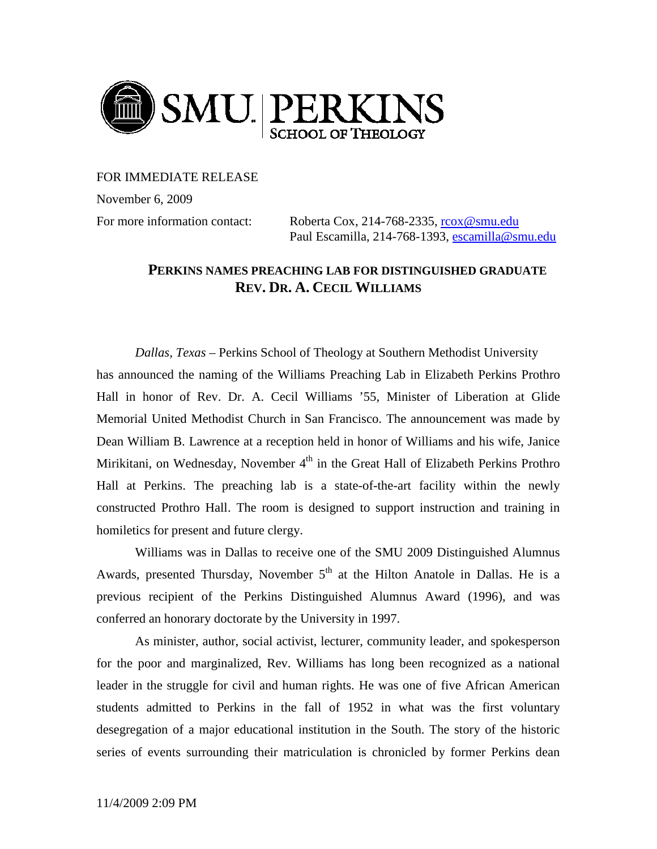

FOR IMMEDIATE RELEASE

November 6, 2009

For more information contact: Roberta Cox, 214-768-2335, [rcox@smu.edu](mailto:rcox@smu.edu) Paul Escamilla, 214-768-1393, [escamilla@smu.edu](mailto:escamilla@smu.edu)

## **PERKINS NAMES PREACHING LAB FOR DISTINGUISHED GRADUATE REV. DR. A. CECIL WILLIAMS**

*Dallas, Texas* – Perkins School of Theology at Southern Methodist University has announced the naming of the Williams Preaching Lab in Elizabeth Perkins Prothro Hall in honor of Rev. Dr. A. Cecil Williams '55, Minister of Liberation at Glide Memorial United Methodist Church in San Francisco. The announcement was made by Dean William B. Lawrence at a reception held in honor of Williams and his wife, Janice Mirikitani, on Wednesday, November 4<sup>th</sup> in the Great Hall of Elizabeth Perkins Prothro Hall at Perkins. The preaching lab is a state-of-the-art facility within the newly constructed Prothro Hall. The room is designed to support instruction and training in homiletics for present and future clergy.

Williams was in Dallas to receive one of the SMU 2009 Distinguished Alumnus Awards, presented Thursday, November  $5<sup>th</sup>$  at the Hilton Anatole in Dallas. He is a previous recipient of the Perkins Distinguished Alumnus Award (1996), and was conferred an honorary doctorate by the University in 1997.

As minister, author, social activist, lecturer, community leader, and spokesperson for the poor and marginalized, Rev. Williams has long been recognized as a national leader in the struggle for civil and human rights. He was one of five African American students admitted to Perkins in the fall of 1952 in what was the first voluntary desegregation of a major educational institution in the South. The story of the historic series of events surrounding their matriculation is chronicled by former Perkins dean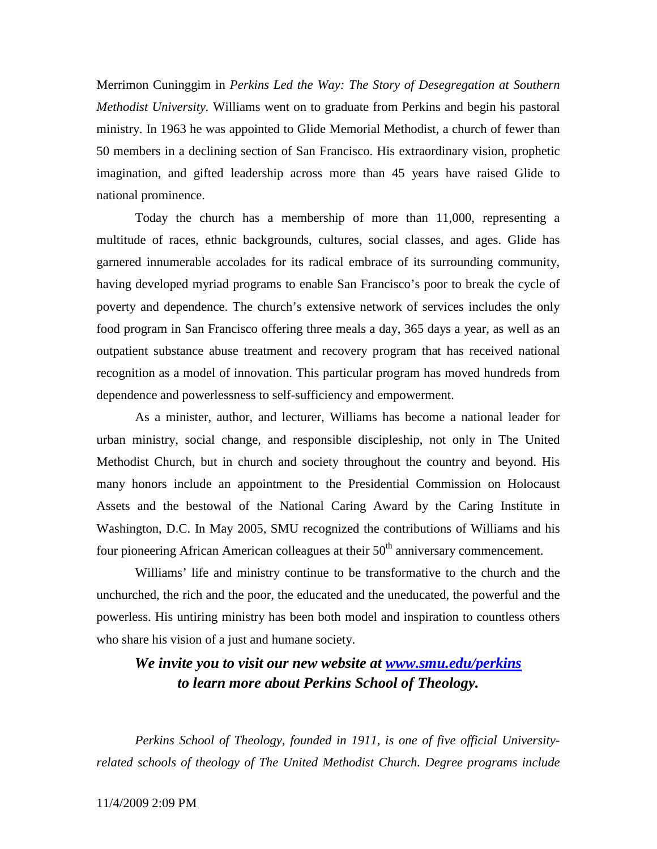Merrimon Cuninggim in *Perkins Led the Way: The Story of Desegregation at Southern Methodist University.* Williams went on to graduate from Perkins and begin his pastoral ministry. In 1963 he was appointed to Glide Memorial Methodist, a church of fewer than 50 members in a declining section of San Francisco. His extraordinary vision, prophetic imagination, and gifted leadership across more than 45 years have raised Glide to national prominence.

Today the church has a membership of more than 11,000, representing a multitude of races, ethnic backgrounds, cultures, social classes, and ages. Glide has garnered innumerable accolades for its radical embrace of its surrounding community, having developed myriad programs to enable San Francisco's poor to break the cycle of poverty and dependence. The church's extensive network of services includes the only food program in San Francisco offering three meals a day, 365 days a year, as well as an outpatient substance abuse treatment and recovery program that has received national recognition as a model of innovation. This particular program has moved hundreds from dependence and powerlessness to self-sufficiency and empowerment.

As a minister, author, and lecturer, Williams has become a national leader for urban ministry, social change, and responsible discipleship, not only in The United Methodist Church, but in church and society throughout the country and beyond. His many honors include an appointment to the Presidential Commission on Holocaust Assets and the bestowal of the National Caring Award by the Caring Institute in Washington, D.C. In May 2005, SMU recognized the contributions of Williams and his four pioneering African American colleagues at their  $50<sup>th</sup>$  anniversary commencement.

Williams' life and ministry continue to be transformative to the church and the unchurched, the rich and the poor, the educated and the uneducated, the powerful and the powerless. His untiring ministry has been both model and inspiration to countless others who share his vision of a just and humane society.

## *We invite you to visit our new website at [www.smu.edu/perkins](http://www.smu.edu/perkins) to learn more about Perkins School of Theology.*

*Perkins School of Theology, founded in 1911, is one of five official Universityrelated schools of theology of The United Methodist Church. Degree programs include*